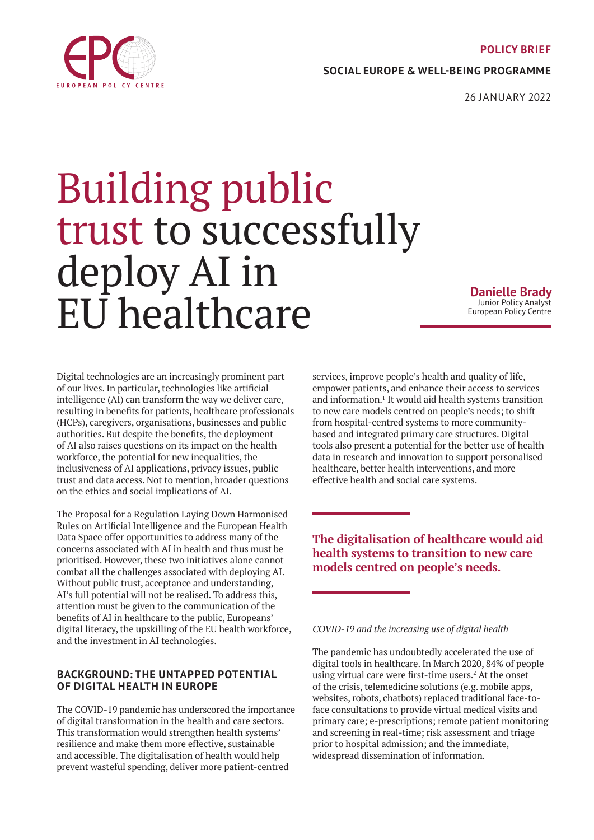### **POLICY BRIEF**

**SOCIAL EUROPE & WELL-BEING PROGRAMME**

26 JANUARY 2022

# Building public trust to successfully deploy AI in EU healthcare

**Danielle Brady** Junior Policy Analyst European Policy Centre

Digital technologies are an increasingly prominent part of our lives. In particular, technologies like artificial intelligence (AI) can transform the way we deliver care, resulting in benefits for patients, healthcare professionals (HCPs), caregivers, organisations, businesses and public authorities. But despite the benefits, the deployment of AI also raises questions on its impact on the health workforce, the potential for new inequalities, the inclusiveness of AI applications, privacy issues, public trust and data access. Not to mention, broader questions on the ethics and social implications of AI.

The Proposal for a Regulation Laying Down Harmonised Rules on Artificial Intelligence and the European Health Data Space offer opportunities to address many of the concerns associated with AI in health and thus must be prioritised. However, these two initiatives alone cannot combat all the challenges associated with deploying AI. Without public trust, acceptance and understanding, AI's full potential will not be realised. To address this, attention must be given to the communication of the benefits of AI in healthcare to the public, Europeans' digital literacy, the upskilling of the EU health workforce, and the investment in AI technologies.

# **BACKGROUND: THE UNTAPPED POTENTIAL OF DIGITAL HEALTH IN EUROPE**

The COVID-19 pandemic has underscored the importance of digital transformation in the health and care sectors. This transformation would strengthen health systems' resilience and make them more effective, sustainable and accessible. The digitalisation of health would help prevent wasteful spending, deliver more patient-centred

services, improve people's health and quality of life, empower patients, and enhance their access to services and information.<sup>1</sup> It would aid health systems transition to new care models centred on people's needs; to shift from hospital-centred systems to more communitybased and integrated primary care structures. Digital tools also present a potential for the better use of health data in research and innovation to support personalised healthcare, better health interventions, and more effective health and social care systems.

**The digitalisation of healthcare would aid health systems to transition to new care models centred on people's needs.**

*COVID-19 and the increasing use of digital health*

The pandemic has undoubtedly accelerated the use of digital tools in healthcare. In March 2020, 84% of people using virtual care were first-time users.<sup>2</sup> At the onset of the crisis, telemedicine solutions (e.g. mobile apps, websites, robots, chatbots) replaced traditional face-toface consultations to provide virtual medical visits and primary care; e-prescriptions; remote patient monitoring and screening in real-time; risk assessment and triage prior to hospital admission; and the immediate, widespread dissemination of information.

<span id="page-0-0"></span>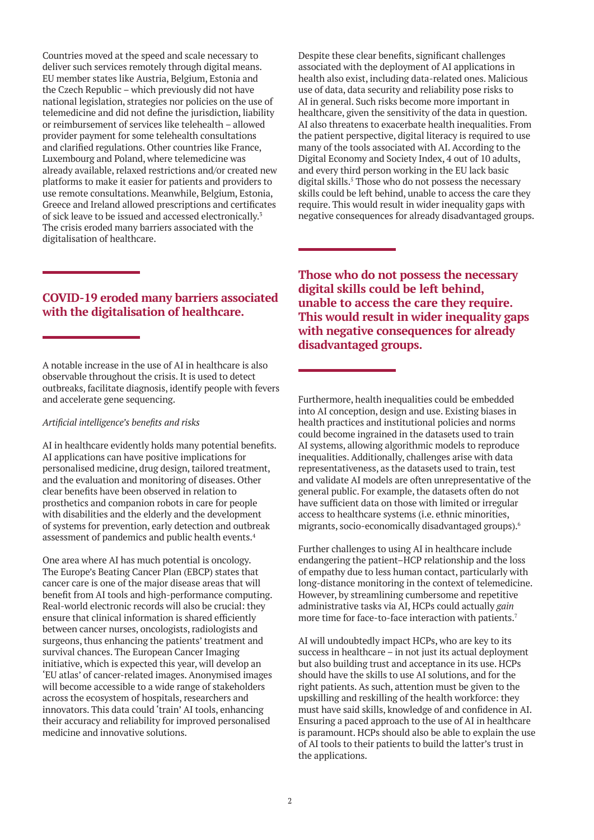Countries moved at the speed and scale necessary to deliver such services remotely through digital means. EU member states like Austria, Belgium, Estonia and the Czech Republic – which previously did not have national legislation, strategies nor policies on the use of telemedicine and did not define the jurisdiction, liability or reimbursement of services like telehealth – allowed provider payment for some telehealth consultations and clarified regulations. Other countries like France, Luxembourg and Poland, where telemedicine was already available, relaxed restrictions and/or created new platforms to make it easier for patients and providers to use remote consultations. Meanwhile, Belgium, Estonia, Greece and Ireland allowed prescriptions and certificates of sick leave to be issued and accessed electronically.3 The crisis eroded many barriers associated with the digitalisation of healthcare.

# **COVID-19 eroded many barriers associated with the digitalisation of healthcare.**

A notable increase in the use of AI in healthcare is also observable throughout the crisis. It is used to detect outbreaks, facilitate diagnosis, identify people with fevers and accelerate gene sequencing.

#### *Artificial intelligence's benefits and risks*

AI in healthcare evidently holds many potential benefits. AI applications can have positive implications for personalised medicine, drug design, tailored treatment, and the evaluation and monitoring of diseases. Other clear benefits have been observed in relation to prosthetics and companion robots in care for people with disabilities and the elderly and the development of systems for prevention, early detection and outbreak assessment of pandemics and public health events.4

One area where AI has much potential is oncology. The Europe's Beating Cancer Plan (EBCP) states that cancer care is one of the major disease areas that will benefit from AI tools and high-performance computing. Real-world electronic records will also be crucial: they ensure that clinical information is shared efficiently between cancer nurses, oncologists, radiologists and surgeons, thus enhancing the patients' treatment and survival chances. The European Cancer Imaging initiative, which is expected this year, will develop an 'EU atlas' of cancer-related images. Anonymised images will become accessible to a wide range of stakeholders across the ecosystem of hospitals, researchers and innovators. This data could 'train' AI tools, enhancing their accuracy and reliability for improved personalised medicine and innovative solutions.

Despite these clear benefits, significant challenges associated with the deployment of AI applications in health also exist, including data-related ones. Malicious use of data, data security and reliability pose risks to AI in general. Such risks become more important in healthcare, given the sensitivity of the data in question. AI also threatens to exacerbate health inequalities. From the patient perspective, digital literacy is required to use many of the tools associated with AI. According to the Digital Economy and Society Index, 4 out of 10 adults, and every third person working in the EU lack basic digital skills.<sup>5</sup> Those who do not possess the necessary skills could be left behind, unable to access the care they require. This would result in wider inequality gaps with negative consequences for already disadvantaged groups.

**Those who do not possess the necessary digital skills could be left behind, unable to access the care they require. This would result in wider inequality gaps with negative consequences for already disadvantaged groups.**

Furthermore, health inequalities could be embedded into AI conception, design and use. Existing biases in health practices and institutional policies and norms could become ingrained in the datasets used to train AI systems, allowing algorithmic models to reproduce inequalities. Additionally, challenges arise with data representativeness, as the datasets used to train, test and validate AI models are often unrepresentative of the general public. For example, the datasets often do not have sufficient data on those with limited or irregular access to healthcare systems (i.e. ethnic minorities, migrants, socio-economically disadvantaged groups).6

Further challenges to using AI in healthcare include endangering the patient–HCP relationship and the loss of empathy due to less human contact, particularly with long-distance monitoring in the context of telemedicine. However, by streamlining cumbersome and repetitive administrative tasks via AI, HCPs could actually *gain* more time for face-to-face interaction with patients.<sup>7</sup>

AI will undoubtedly impact HCPs, who are key to its success in healthcare – in not just its actual deployment but also building trust and acceptance in its use. HCPs should have the skills to use AI solutions, and for the right patients. As such, attention must be given to the upskilling and reskilling of the health workforce: they must have said skills, knowledge of and confidence in AI. Ensuring a paced approach to the use of AI in healthcare is paramount. HCPs should also be able to explain the use of AI tools to their patients to build the latter's trust in the applications.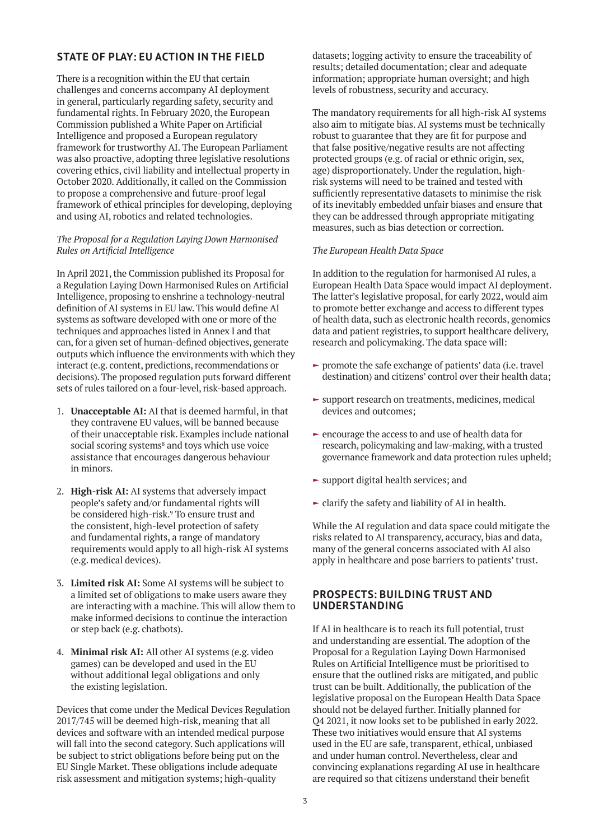# **STATE OF PLAY: EU ACTION IN THE FIELD**

There is a recognition within the EU that certain challenges and concerns accompany AI deployment in general, particularly regarding safety, security and fundamental rights. In February 2020, the European Commission published a White Paper on Artificial Intelligence and proposed a European regulatory framework for trustworthy AI. The European Parliament was also proactive, adopting three legislative resolutions covering ethics, civil liability and intellectual property in October 2020. Additionally, it called on the Commission to propose a comprehensive and future-proof legal framework of ethical principles for developing, deploying and using AI, robotics and related technologies.

## *The Proposal for a Regulation Laying Down Harmonised Rules on Artificial Intelligence*

In April 2021, the Commission published its Proposal for a Regulation Laying Down Harmonised Rules on Artificial Intelligence, proposing to enshrine a technology-neutral definition of AI systems in EU law. This would define AI systems as software developed with one or more of the techniques and approaches listed in Annex I and that can, for a given set of human-defined objectives, generate outputs which influence the environments with which they interact (e.g. content, predictions, recommendations or decisions). The proposed regulation puts forward different sets of rules tailored on a four-level, risk-based approach.

- 1. **Unacceptable AI:** AI that is deemed harmful, in that they contravene EU values, will be banned because of their unacceptable risk. Examples include national social scoring systems<sup>8</sup> and toys which use voice assistance that encourages dangerous behaviour in minors.
- 2. **High-risk AI:** AI systems that adversely impact people's safety and/or fundamental rights will be considered high-risk.9 To ensure trust and the consistent, high-level protection of safety and fundamental rights, a range of mandatory requirements would apply to all high-risk AI systems (e.g. medical devices).
- 3. **Limited risk AI:** Some AI systems will be subject to a limited set of obligations to make users aware they are interacting with a machine. This will allow them to make informed decisions to continue the interaction or step back (e.g. chatbots).
- 4. **Minimal risk AI:** All other AI systems (e.g. video games) can be developed and used in the EU without additional legal obligations and only the existing legislation.

Devices that come under the Medical Devices Regulation 2017/745 will be deemed high-risk, meaning that all devices and software with an intended medical purpose will fall into the second category. Such applications will be subject to strict obligations before being put on the EU Single Market. These obligations include adequate risk assessment and mitigation systems; high-quality

datasets; logging activity to ensure the traceability of results; detailed documentation; clear and adequate information; appropriate human oversight; and high levels of robustness, security and accuracy.

The mandatory requirements for all high-risk AI systems also aim to mitigate bias. AI systems must be technically robust to guarantee that they are fit for purpose and that false positive/negative results are not affecting protected groups (e.g. of racial or ethnic origin, sex, age) disproportionately. Under the regulation, highrisk systems will need to be trained and tested with sufficiently representative datasets to minimise the risk of its inevitably embedded unfair biases and ensure that they can be addressed through appropriate mitigating measures, such as bias detection or correction.

## *The European Health Data Space*

In addition to the regulation for harmonised AI rules, a European Health Data Space would impact AI deployment. The latter's legislative proposal, for early 2022, would aim to promote better exchange and access to different types of health data, such as electronic health records, genomics data and patient registries, to support healthcare delivery, research and policymaking. The data space will:

- $\blacktriangleright$  promote the safe exchange of patients' data (i.e. travel destination) and citizens' control over their health data;
- $\blacktriangleright$  support research on treatments, medicines, medical devices and outcomes;
- $\blacktriangleright$  encourage the access to and use of health data for research, policymaking and law-making, with a trusted governance framework and data protection rules upheld;
- $\blacktriangleright$  support digital health services; and
- $\blacktriangleright$  clarify the safety and liability of AI in health.

While the AI regulation and data space could mitigate the risks related to AI transparency, accuracy, bias and data, many of the general concerns associated with AI also apply in healthcare and pose barriers to patients' trust.

## **PROSPECTS: BUILDING TRUST AND UNDERSTANDING**

If AI in healthcare is to reach its full potential, trust and understanding are essential. The adoption of the Proposal for a Regulation Laying Down Harmonised Rules on Artificial Intelligence must be prioritised to ensure that the outlined risks are mitigated, and public trust can be built. Additionally, the publication of the legislative proposal on the European Health Data Space should not be delayed further. Initially planned for Q4 2021, it now looks set to be published in early 2022. These two initiatives would ensure that AI systems used in the EU are safe, transparent, ethical, unbiased and under human control. Nevertheless, clear and convincing explanations regarding AI use in healthcare are required so that citizens understand their benefit